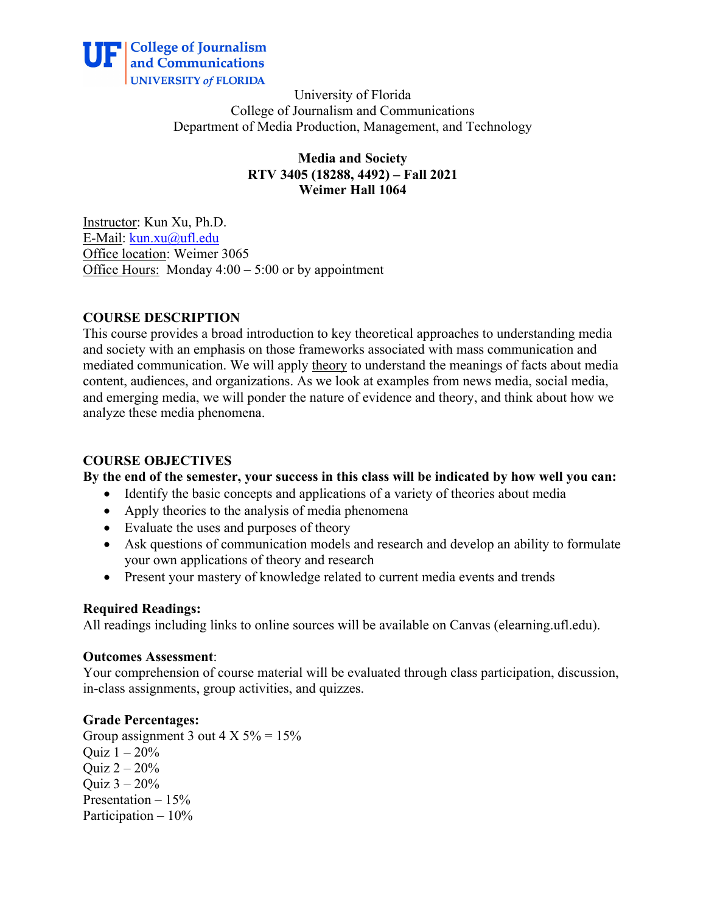

University of Florida College of Journalism and Communications Department of Media Production, Management, and Technology

> **Media and Society RTV 3405 (18288, 4492) – Fall 2021 Weimer Hall 1064**

Instructor: Kun Xu, Ph.D. E-Mail: kun.xu@ufl.edu Office location: Weimer 3065 Office Hours: Monday  $4:00 - 5:00$  or by appointment

# **COURSE DESCRIPTION**

This course provides a broad introduction to key theoretical approaches to understanding media and society with an emphasis on those frameworks associated with mass communication and mediated communication. We will apply theory to understand the meanings of facts about media content, audiences, and organizations. As we look at examples from news media, social media, and emerging media, we will ponder the nature of evidence and theory, and think about how we analyze these media phenomena.

# **COURSE OBJECTIVES**

**By the end of the semester, your success in this class will be indicated by how well you can:**

- Identify the basic concepts and applications of a variety of theories about media
- Apply theories to the analysis of media phenomena
- Evaluate the uses and purposes of theory
- Ask questions of communication models and research and develop an ability to formulate your own applications of theory and research
- Present your mastery of knowledge related to current media events and trends

# **Required Readings:**

All readings including links to online sources will be available on Canvas (elearning.ufl.edu).

#### **Outcomes Assessment**:

Your comprehension of course material will be evaluated through class participation, discussion, in-class assignments, group activities, and quizzes.

# **Grade Percentages:**

Group assignment 3 out  $4 \times 5\% = 15\%$ Ouiz  $1 - 20%$ Ouiz  $2 - 20%$ Quiz  $3 - 20%$ Presentation – 15% Participation – 10%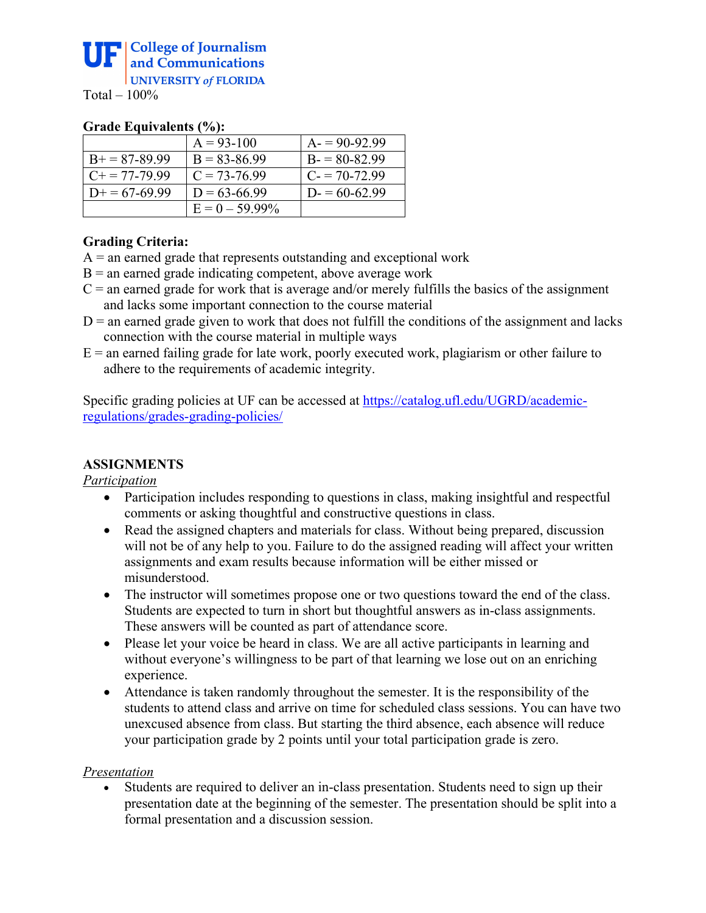#### **Grade Equivalents (%):**

|                      | $A = 93-100$      | $A = 90-92.99$   |
|----------------------|-------------------|------------------|
| $B+=87-89.99$        | $B = 83 - 86.99$  | $B = 80 - 82.99$ |
| $C_{+} = 77 - 79.99$ | $C = 73 - 76.99$  | $C = 70-72.99$   |
| $D+=67-69.99$        | $D = 63-66.99$    | $D = 60-62.99$   |
|                      | $E = 0 - 59.99\%$ |                  |

# **Grading Criteria:**

- $A =$  an earned grade that represents outstanding and exceptional work
- $B =$  an earned grade indicating competent, above average work
- $C =$  an earned grade for work that is average and/or merely fulfills the basics of the assignment and lacks some important connection to the course material
- $D =$  an earned grade given to work that does not fulfill the conditions of the assignment and lacks connection with the course material in multiple ways
- $E =$  an earned failing grade for late work, poorly executed work, plagiarism or other failure to adhere to the requirements of academic integrity.

Specific grading policies at UF can be accessed at https://catalog.ufl.edu/UGRD/academicregulations/grades-grading-policies/

# **ASSIGNMENTS**

*Participation*

- Participation includes responding to questions in class, making insightful and respectful comments or asking thoughtful and constructive questions in class.
- Read the assigned chapters and materials for class. Without being prepared, discussion will not be of any help to you. Failure to do the assigned reading will affect your written assignments and exam results because information will be either missed or misunderstood.
- The instructor will sometimes propose one or two questions toward the end of the class. Students are expected to turn in short but thoughtful answers as in-class assignments. These answers will be counted as part of attendance score.
- Please let your voice be heard in class. We are all active participants in learning and without everyone's willingness to be part of that learning we lose out on an enriching experience.
- Attendance is taken randomly throughout the semester. It is the responsibility of the students to attend class and arrive on time for scheduled class sessions. You can have two unexcused absence from class. But starting the third absence, each absence will reduce your participation grade by 2 points until your total participation grade is zero.

# *Presentation*

Students are required to deliver an in-class presentation. Students need to sign up their presentation date at the beginning of the semester. The presentation should be split into a formal presentation and a discussion session.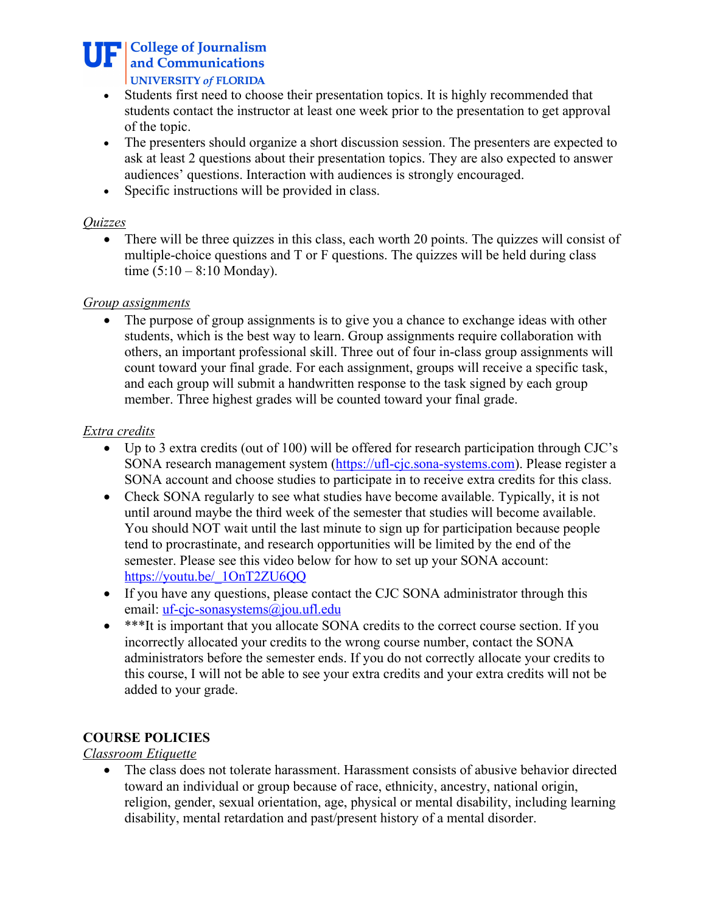**THE College of Journalism** and Communications UNIVERSITY of FLORIDA

- Students first need to choose their presentation topics. It is highly recommended that students contact the instructor at least one week prior to the presentation to get approval of the topic.
- The presenters should organize a short discussion session. The presenters are expected to ask at least 2 questions about their presentation topics. They are also expected to answer audiences' questions. Interaction with audiences is strongly encouraged.
- Specific instructions will be provided in class.

#### *Quizzes*

• There will be three quizzes in this class, each worth 20 points. The quizzes will consist of multiple-choice questions and T or F questions. The quizzes will be held during class time  $(5:10 - 8:10 \text{ Monday})$ .

#### *Group assignments*

• The purpose of group assignments is to give you a chance to exchange ideas with other students, which is the best way to learn. Group assignments require collaboration with others, an important professional skill. Three out of four in-class group assignments will count toward your final grade. For each assignment, groups will receive a specific task, and each group will submit a handwritten response to the task signed by each group member. Three highest grades will be counted toward your final grade.

#### *Extra credits*

- Up to 3 extra credits (out of 100) will be offered for research participation through CJC's SONA research management system (https://ufl-cjc.sona-systems.com). Please register a SONA account and choose studies to participate in to receive extra credits for this class.
- Check SONA regularly to see what studies have become available. Typically, it is not until around maybe the third week of the semester that studies will become available. You should NOT wait until the last minute to sign up for participation because people tend to procrastinate, and research opportunities will be limited by the end of the semester. Please see this video below for how to set up your SONA account: https://youtu.be/\_1OnT2ZU6QQ
- If you have any questions, please contact the CJC SONA administrator through this email: uf-cjc-sonasystems@jou.ufl.edu
- \*\*\*It is important that you allocate SONA credits to the correct course section. If you incorrectly allocated your credits to the wrong course number, contact the SONA administrators before the semester ends. If you do not correctly allocate your credits to this course, I will not be able to see your extra credits and your extra credits will not be added to your grade.

# **COURSE POLICIES**

# *Classroom Etiquette*

• The class does not tolerate harassment. Harassment consists of abusive behavior directed toward an individual or group because of race, ethnicity, ancestry, national origin, religion, gender, sexual orientation, age, physical or mental disability, including learning disability, mental retardation and past/present history of a mental disorder.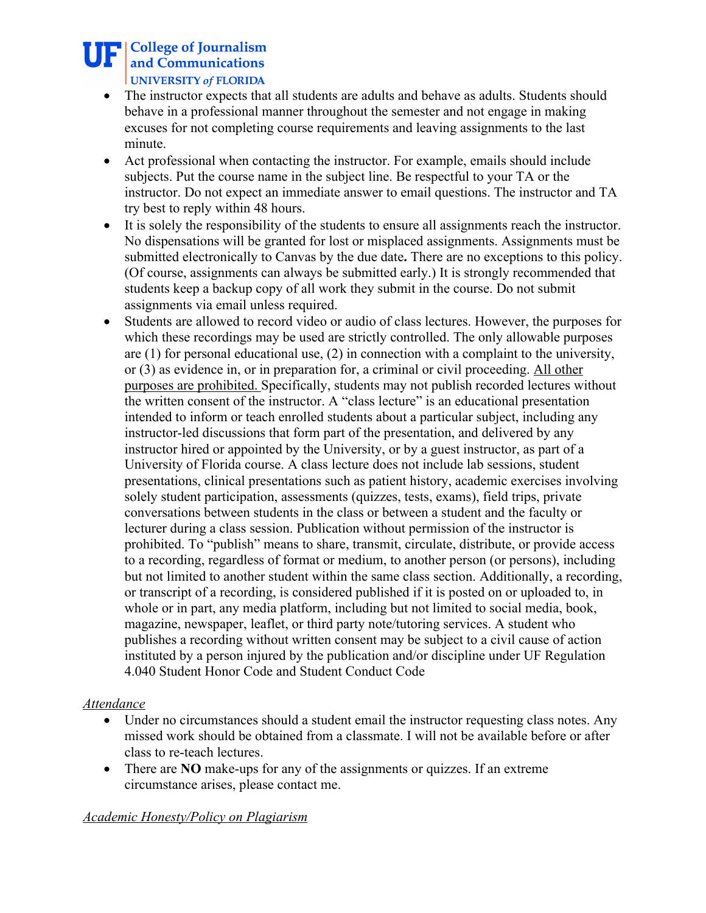# **THE College of Journalism** and Communications UNIVERSITY of FLORIDA

- The instructor expects that all students are adults and behave as adults. Students should behave in a professional manner throughout the semester and not engage in making excuses for not completing course requirements and leaving assignments to the last minute.
- Act professional when contacting the instructor. For example, emails should include subjects. Put the course name in the subject line. Be respectful to your TA or the instructor. Do not expect an immediate answer to email questions. The instructor and TA try best to reply within 48 hours.
- It is solely the responsibility of the students to ensure all assignments reach the instructor. No dispensations will be granted for lost or misplaced assignments. Assignments must be submitted electronically to Canvas by the due date**.** There are no exceptions to this policy. (Of course, assignments can always be submitted early.) It is strongly recommended that students keep a backup copy of all work they submit in the course. Do not submit assignments via email unless required.
- Students are allowed to record video or audio of class lectures. However, the purposes for which these recordings may be used are strictly controlled. The only allowable purposes are (1) for personal educational use, (2) in connection with a complaint to the university, or (3) as evidence in, or in preparation for, a criminal or civil proceeding. All other purposes are prohibited. Specifically, students may not publish recorded lectures without the written consent of the instructor. A "class lecture" is an educational presentation intended to inform or teach enrolled students about a particular subject, including any instructor-led discussions that form part of the presentation, and delivered by any instructor hired or appointed by the University, or by a guest instructor, as part of a University of Florida course. A class lecture does not include lab sessions, student presentations, clinical presentations such as patient history, academic exercises involving solely student participation, assessments (quizzes, tests, exams), field trips, private conversations between students in the class or between a student and the faculty or lecturer during a class session. Publication without permission of the instructor is prohibited. To "publish" means to share, transmit, circulate, distribute, or provide access to a recording, regardless of format or medium, to another person (or persons), including but not limited to another student within the same class section. Additionally, a recording, or transcript of a recording, is considered published if it is posted on or uploaded to, in whole or in part, any media platform, including but not limited to social media, book, magazine, newspaper, leaflet, or third party note/tutoring services. A student who publishes a recording without written consent may be subject to a civil cause of action instituted by a person injured by the publication and/or discipline under UF Regulation 4.040 Student Honor Code and Student Conduct Code

# *Attendance*

- Under no circumstances should a student email the instructor requesting class notes. Any missed work should be obtained from a classmate. I will not be available before or after class to re-teach lectures.
- There are **NO** make-ups for any of the assignments or quizzes. If an extreme circumstance arises, please contact me.

# *Academic Honesty/Policy on Plagiarism*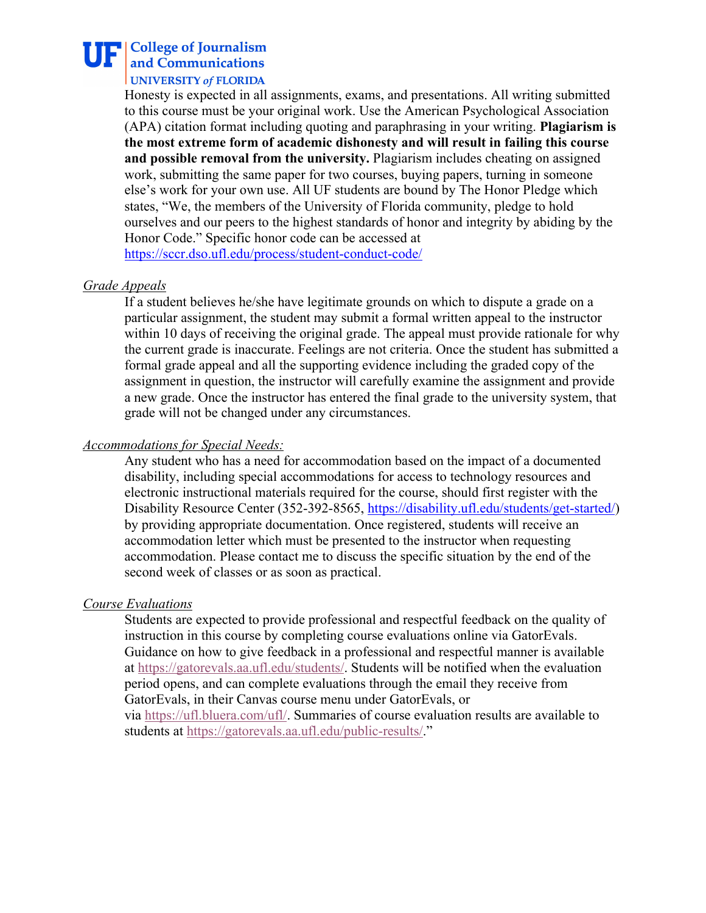# **THE College of Journalism** and Communications

#### **UNIVERSITY of FLORIDA**

Honesty is expected in all assignments, exams, and presentations. All writing submitted to this course must be your original work. Use the American Psychological Association (APA) citation format including quoting and paraphrasing in your writing. **Plagiarism is the most extreme form of academic dishonesty and will result in failing this course and possible removal from the university.** Plagiarism includes cheating on assigned work, submitting the same paper for two courses, buying papers, turning in someone else's work for your own use. All UF students are bound by The Honor Pledge which states, "We, the members of the University of Florida community, pledge to hold ourselves and our peers to the highest standards of honor and integrity by abiding by the Honor Code." Specific honor code can be accessed at https://sccr.dso.ufl.edu/process/student-conduct-code/

#### *Grade Appeals*

If a student believes he/she have legitimate grounds on which to dispute a grade on a particular assignment, the student may submit a formal written appeal to the instructor within 10 days of receiving the original grade. The appeal must provide rationale for why the current grade is inaccurate. Feelings are not criteria. Once the student has submitted a formal grade appeal and all the supporting evidence including the graded copy of the assignment in question, the instructor will carefully examine the assignment and provide a new grade. Once the instructor has entered the final grade to the university system, that grade will not be changed under any circumstances.

#### *Accommodations for Special Needs:*

Any student who has a need for accommodation based on the impact of a documented disability, including special accommodations for access to technology resources and electronic instructional materials required for the course, should first register with the Disability Resource Center (352-392-8565, https://disability.ufl.edu/students/get-started/) by providing appropriate documentation. Once registered, students will receive an accommodation letter which must be presented to the instructor when requesting accommodation. Please contact me to discuss the specific situation by the end of the second week of classes or as soon as practical.

#### *Course Evaluations*

Students are expected to provide professional and respectful feedback on the quality of instruction in this course by completing course evaluations online via GatorEvals. Guidance on how to give feedback in a professional and respectful manner is available at https://gatorevals.aa.ufl.edu/students/. Students will be notified when the evaluation period opens, and can complete evaluations through the email they receive from GatorEvals, in their Canvas course menu under GatorEvals, or via https://ufl.bluera.com/ufl/. Summaries of course evaluation results are available to

students at https://gatorevals.aa.ufl.edu/public-results/."